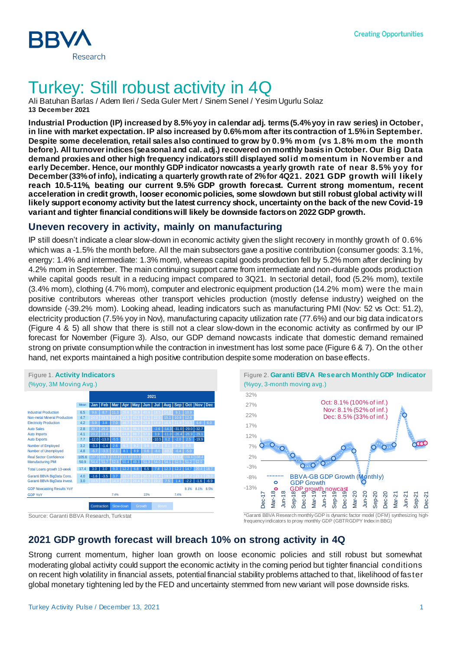

## Turkey: Still robust activity in 4Q

Ali Batuhan Barlas / Adem Ileri / Seda Guler Mert / Sinem Senel / Yesim Ugurlu Solaz **13 December 2021**

**Industrial Production (IP) increased by 8.5% yoy in calendar adj. terms (5.4% yoy in raw series) in October, in line with market expectation. IP also increased by 0.6% mom after its contraction of 1.5%in September. Despite some deceleration, retail sales also continued to grow by 0.9% mom (vs 1.8% mom the month before). All turnover indices (seasonal and cal. adj.) recovered on monthly basis in October. Our Big Data demand proxies and other high frequency indicators still displayed solid momentum in November and early December. Hence, our monthly GDP indicator nowcasts a yearly growth rate of near 8.5% yoy for December (33% of info), indicating a quarterly growth rate of 2% for 4Q21. 2021 GDP growth will likely reach 10.5-11%, beating our current 9.5% GDP growth forecast. Current strong momentum, recent acceleration in credit growth, looser economic policies, some slowdown but still robust global activity will likely support economy activity but the latest currency shock, uncertainty on the back of the new Covid-19 variant and tighter financial conditions will likely be downside factors on 2022 GDP growth.**

## **Uneven recovery in activity, mainly on manufacturing**

IP still doesn't indicate a clear slow-down in economic activity given the slight recovery in monthly growth of 0.6% which was a -1.5% the month before. All the main subsectors gave a positive contribution (consumer goods: 3.1%, energy: 1.4% and intermediate: 1.3% mom), whereas capital goods production fell by 5.2% mom after declining by 4.2% mom in September. The main continuing support came from intermediate and non-durable goods production while capital goods result in a reducing impact compared to 3Q21. In sectorial detail, food (5.2% mom), textile (3.4% mom), clothing (4.7% mom), computer and electronic equipment production (14.2% mom) were the main positive contributors whereas other transport vehicles production (mostly defense industry) weighed on the downside (-39.2% mom). Looking ahead, leading indicators such as manufacturing PMI (Nov: 52 vs Oct: 51.2), electricity production (7.5% yoy in Nov), manufacturing capacity utilization rate (77.6%) and our big data indicators (Figure 4 & 5) all show that there is still not a clear slow-down in the economic activity as confirmed by our IP forecast for November (Figure 3). Also, our GDP demand nowcasts indicate that domestic demand remained strong on private consumption while the contraction in investment has lost some pace (Figure 6 & 7). On the other hand, net exports maintained a high positive contribution despite some moderation on base effects.





frequency indicators to proxy monthly GDP (GBTRGDPY Index in BBG)

## **2021 GDP growth forecast will breach 10% on strong activity in 4Q**

Strong current momentum, higher loan growth on loose economic policies and still robust but somewhat moderating global activity could support the economic activity in the coming period but tighter financial conditions on recent high volatility in financial assets, potential financial stability problems attached to that, likelihood of faster global monetary tightening led by the FED and uncertainty stemmed from new variant will pose downside risks.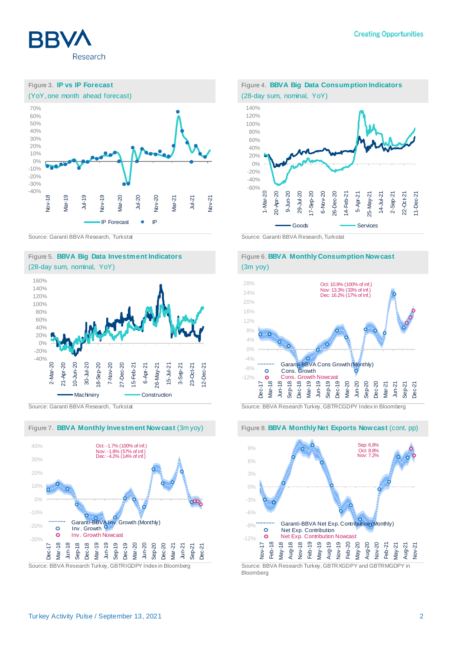









Figure 7. **BBVA Monthly Investment Nowcast** (3m yoy) Figure 8. **BBVA Monthly Net Exports Nowcast** (cont. pp)









Source: Garanti BBVA Research, Turkstat Source: BBVA Research Turkey, GBTRCGDPY Index in Bloomberg



Bloomberg